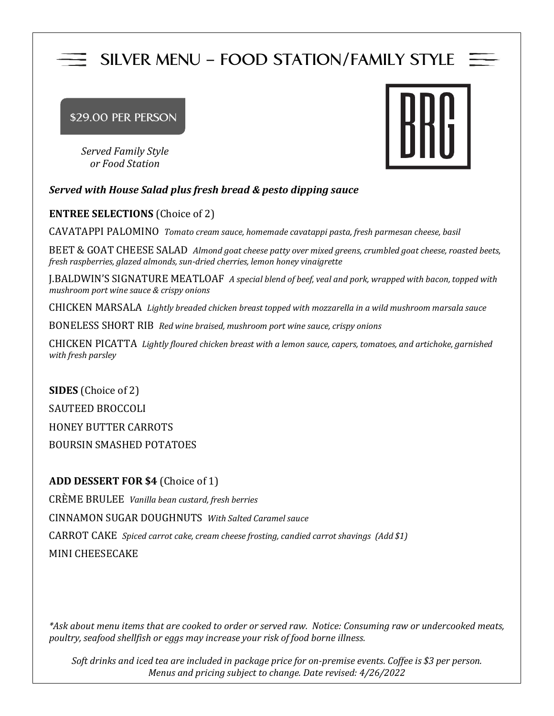# **SILVER MENU – FOOD STATION/FAMILY STYLE**

# **\$29.00 PER PERSON**

*Served Family Style or Food Station*



# *Served with House Salad plus fresh bread & pesto dipping sauce*

# **ENTREE SELECTIONS** (Choice of 2)

CAVATAPPI PALOMINO *Tomato cream sauce, homemade cavatappi pasta, fresh parmesan cheese, basil*

BEET & GOAT CHEESE SALAD *Almond goat cheese patty over mixed greens, crumbled goat cheese, roasted beets, fresh raspberries, glazed almonds, sun-dried cherries, lemon honey vinaigrette*

J.BALDWIN'S SIGNATURE MEATLOAF *A special blend of beef, veal and pork, wrapped with bacon, topped with mushroom port wine sauce & crispy onions*

CHICKEN MARSALA *Lightly breaded chicken breast topped with mozzarella in a wild mushroom marsala sauce* 

BONELESS SHORT RIB *Red wine braised, mushroom port wine sauce, crispy onions*

CHICKEN PICATTA *Lightly floured chicken breast with a lemon sauce, capers, tomatoes, and artichoke, garnished with fresh parsley*

**SIDES** (Choice of 2) SAUTEED BROCCOLI HONEY BUTTER CARROTS BOURSIN SMASHED POTATOES

# **ADD DESSERT FOR \$4** (Choice of 1)

CRÈME BRULEE *Vanilla bean custard, fresh berries* CINNAMON SUGAR DOUGHNUTS *With Salted Caramel sauce* CARROT CAKE *Spiced carrot cake, cream cheese frosting, candied carrot shavings (Add \$1)* MINI CHEESECAKE

*\*Ask about menu items that are cooked to order or served raw. Notice: Consuming raw or undercooked meats, poultry, seafood shellfish or eggs may increase your risk of food borne illness.*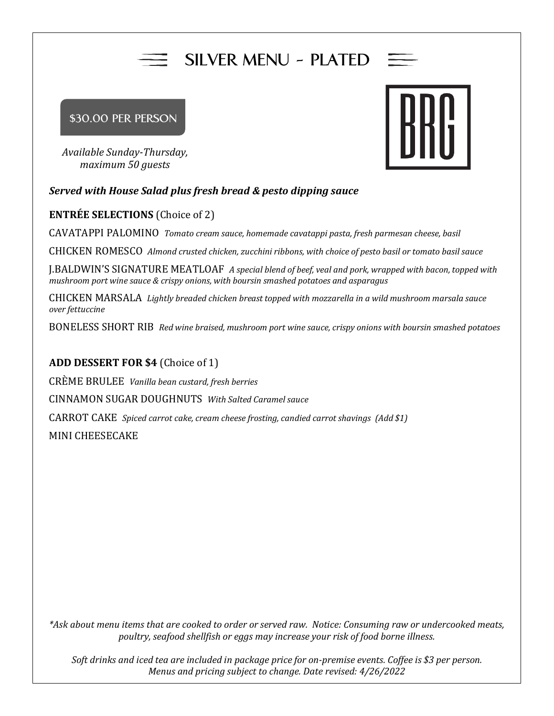# **SILVER MENU - PLATED**

# **\$30.00 PER PERSON**

*Available Sunday-Thursday, maximum 50 guests*

# *Served with House Salad plus fresh bread & pesto dipping sauce*

# **ENTRÉE SELECTIONS** (Choice of 2)

CAVATAPPI PALOMINO *Tomato cream sauce, homemade cavatappi pasta, fresh parmesan cheese, basil*

CHICKEN ROMESCO *Almond crusted chicken, zucchini ribbons, with choice of pesto basil or tomato basil sauce*

J.BALDWIN'S SIGNATURE MEATLOAF *A special blend of beef, veal and pork, wrapped with bacon, topped with mushroom port wine sauce & crispy onions, with boursin smashed potatoes and asparagus*

CHICKEN MARSALA *Lightly breaded chicken breast topped with mozzarella in a wild mushroom marsala sauce over fettuccine* 

BONELESS SHORT RIB *Red wine braised, mushroom port wine sauce, crispy onions with boursin smashed potatoes*

# **ADD DESSERT FOR \$4** (Choice of 1)

CRÈME BRULEE *Vanilla bean custard, fresh berries* CINNAMON SUGAR DOUGHNUTS *With Salted Caramel sauce* CARROT CAKE *Spiced carrot cake, cream cheese frosting, candied carrot shavings (Add \$1)* MINI CHEESECAKE

*\*Ask about menu items that are cooked to order or served raw. Notice: Consuming raw or undercooked meats, poultry, seafood shellfish or eggs may increase your risk of food borne illness.*

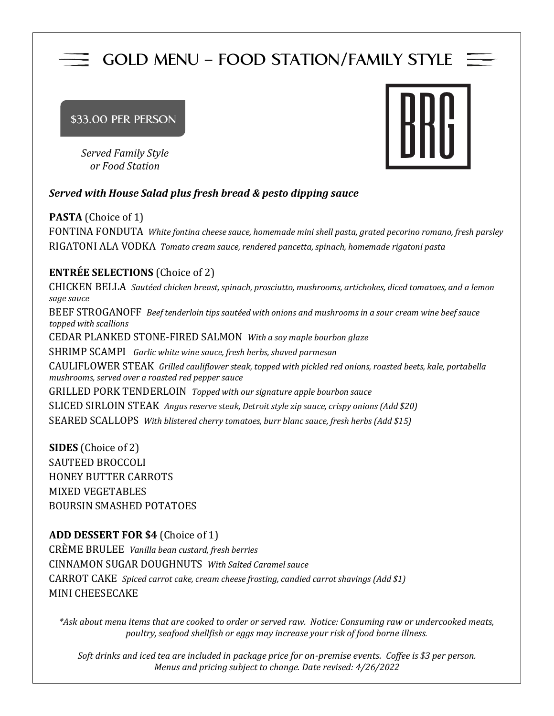# **GOLD MENU – FOOD STATION/FAMILY STYLE**

#### **\$33.00 PER PERSON**

*Served Family Style or Food Station*



# *Served with House Salad plus fresh bread & pesto dipping sauce*

**PASTA** (Choice of 1) FONTINA FONDUTA *White fontina cheese sauce, homemade mini shell pasta, grated pecorino romano, fresh parsley* RIGATONI ALA VODKA *Tomato cream sauce, rendered pancetta, spinach, homemade rigatoni pasta*

# **ENTRÉE SELECTIONS** (Choice of 2)

CHICKEN BELLA *Sautéed chicken breast, spinach, prosciutto, mushrooms, artichokes, diced tomatoes, and a lemon sage sauce* BEEF STROGANOFF *Beef tenderloin tips sautéed with onions and mushrooms in a sour cream wine beef sauce topped with scallions* CEDAR PLANKED STONE-FIRED SALMON *With a soy maple bourbon glaze* SHRIMP SCAMPI *Garlic white wine sauce, fresh herbs, shaved parmesan* CAULIFLOWER STEAK *Grilled cauliflower steak, topped with pickled red onions, roasted beets, kale, portabella mushrooms, served over a roasted red pepper sauce* GRILLED PORK TENDERLOIN *Topped with our signature apple bourbon sauce* SLICED SIRLOIN STEAK *Angus reserve steak, Detroit style zip sauce, crispy onions (Add \$20)* SEARED SCALLOPS *With blistered cherry tomatoes, burr blanc sauce, fresh herbs (Add \$15)*

**SIDES** (Choice of 2) SAUTEED BROCCOLI HONEY BUTTER CARROTS MIXED VEGETABLES BOURSIN SMASHED POTATOES

# **ADD DESSERT FOR \$4** (Choice of 1)

CRÈME BRULEE *Vanilla bean custard, fresh berries* CINNAMON SUGAR DOUGHNUTS *With Salted Caramel sauce* CARROT CAKE *Spiced carrot cake, cream cheese frosting, candied carrot shavings (Add \$1)* MINI CHEESECAKE

*\*Ask about menu items that are cooked to order or served raw. Notice: Consuming raw or undercooked meats, poultry, seafood shellfish or eggs may increase your risk of food borne illness.*